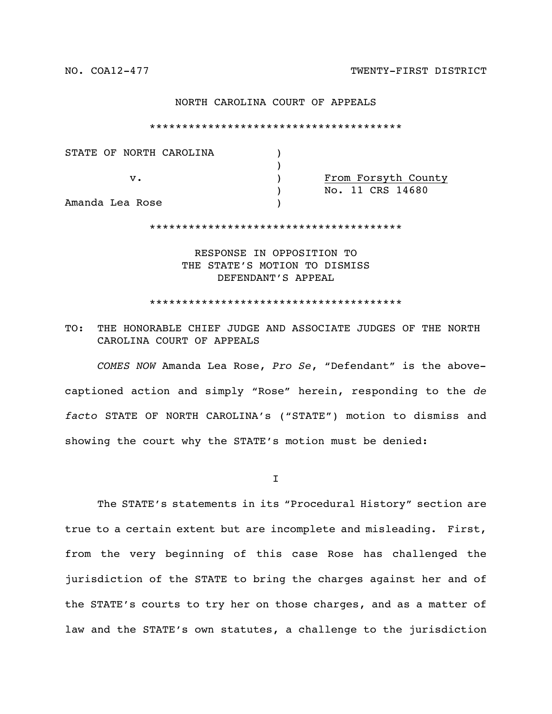## NORTH CAROLINA COURT OF APPEALS

\*\*\*\*\*\*\*\*\*\*\*\*\*\*\*\*\*\*\*\*\*\*\*\*\*\*\*\*\*\*\*\*\*\*\*\*\*\*\*

| STATE OF NORTH CAROLINA |                     |
|-------------------------|---------------------|
|                         |                     |
| v.                      | From Forsyth County |
|                         | No. 11 CRS 14680    |
| Amanda Lea Rose         |                     |

\*\*\*\*\*\*\*\*\*\*\*\*\*\*\*\*\*\*\*\*\*\*\*\*\*\*\*\*\*\*\*\*\*\*\*\*\*\*\*

RESPONSE IN OPPOSITION TO THE STATE'S MOTION TO DISMISS DEFENDANT'S APPEAL

\*\*\*\*\*\*\*\*\*\*\*\*\*\*\*\*\*\*\*\*\*\*\*\*\*\*\*\*\*\*\*\*\*\*\*\*\*\*\*

## TO: THE HONORABLE CHIEF JUDGE AND ASSOCIATE JUDGES OF THE NORTH CAROLINA COURT OF APPEALS

*COMES NOW* Amanda Lea Rose, *Pro Se*, "Defendant" is the abovecaptioned action and simply "Rose" herein, responding to the *de facto* STATE OF NORTH CAROLINA's ("STATE") motion to dismiss and showing the court why the STATE's motion must be denied:

I

The STATE's statements in its "Procedural History" section are true to a certain extent but are incomplete and misleading. First, from the very beginning of this case Rose has challenged the jurisdiction of the STATE to bring the charges against her and of the STATE's courts to try her on those charges, and as a matter of law and the STATE's own statutes, a challenge to the jurisdiction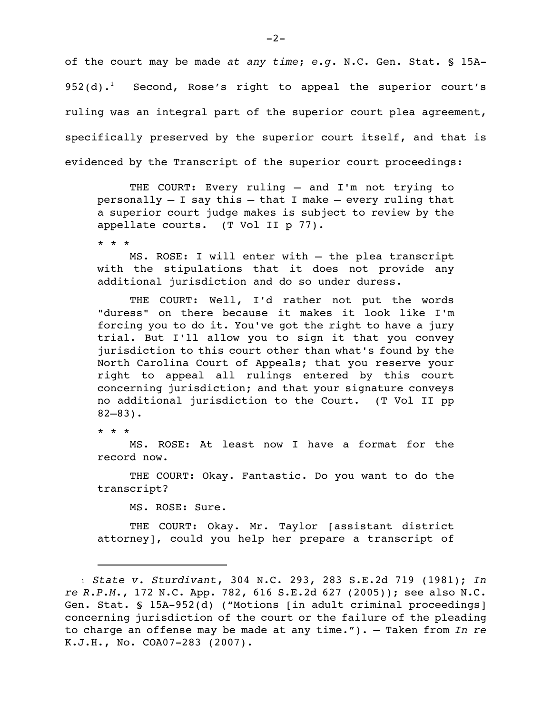of the court may be made *at any time*; *e.g.* N.C. Gen. Stat. § 15A-952(d).<sup>1</sup> Second, Rose's right to appeal the superior court's ruling was an integral part of the superior court plea agreement, specifically preserved by the superior court itself, and that is evidenced by the Transcript of the superior court proceedings:

THE COURT: Every ruling – and I'm not trying to personally  $-$  I say this  $-$  that I make  $-$  every ruling that a superior court judge makes is subject to review by the appellate courts. (T Vol II p 77).

\* \* \*

MS. ROSE: I will enter with — the plea transcript with the stipulations that it does not provide any additional jurisdiction and do so under duress.

THE COURT: Well, I'd rather not put the words "duress" on there because it makes it look like I'm forcing you to do it. You've got the right to have a jury trial. But I'll allow you to sign it that you convey jurisdiction to this court other than what's found by the North Carolina Court of Appeals; that you reserve your right to appeal all rulings entered by this court concerning jurisdiction; and that your signature conveys no additional jurisdiction to the Court. (T Vol II pp 82–83).

\* \* \*

MS. ROSE: At least now I have a format for the record now.

THE COURT: Okay. Fantastic. Do you want to do the transcript?

MS. ROSE: Sure.

THE COURT: Okay. Mr. Taylor [assistant district attorney], could you help her prepare a transcript of

<sup>1</sup> *State v. Sturdivant*, 304 N.C. 293, 283 S.E.2d 719 (1981); *In re R.P.M.*, 172 N.C. App. 782, 616 S.E.2d 627 (2005)); see also N.C. Gen. Stat. § 15A-952(d) ("Motions [in adult criminal proceedings] concerning jurisdiction of the court or the failure of the pleading to charge an offense may be made at any time."). — Taken from *In re* K.J.H., No. COA07-283 (2007).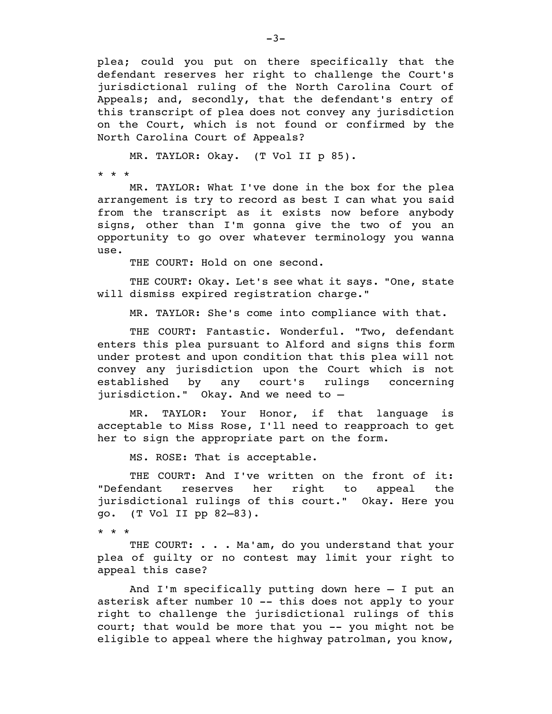plea; could you put on there specifically that the defendant reserves her right to challenge the Court's jurisdictional ruling of the North Carolina Court of Appeals; and, secondly, that the defendant's entry of this transcript of plea does not convey any jurisdiction on the Court, which is not found or confirmed by the North Carolina Court of Appeals?

MR. TAYLOR: Okay. (T Vol II p 85).

\* \* \*

MR. TAYLOR: What I've done in the box for the plea arrangement is try to record as best I can what you said from the transcript as it exists now before anybody signs, other than I'm gonna give the two of you an opportunity to go over whatever terminology you wanna use.

THE COURT: Hold on one second.

THE COURT: Okay. Let's see what it says. "One, state will dismiss expired registration charge."

MR. TAYLOR: She's come into compliance with that.

THE COURT: Fantastic. Wonderful. "Two, defendant enters this plea pursuant to Alford and signs this form under protest and upon condition that this plea will not convey any jurisdiction upon the Court which is not established by any court's rulings concerning jurisdiction." Okay. And we need to —

MR. TAYLOR: Your Honor, if that language is acceptable to Miss Rose, I'll need to reapproach to get her to sign the appropriate part on the form.

MS. ROSE: That is acceptable.

THE COURT: And I've written on the front of it: "Defendant reserves her right to appeal the jurisdictional rulings of this court." Okay. Here you go. (T Vol II pp 82–83).

\* \* \*

THE COURT: . . . Ma'am, do you understand that your plea of guilty or no contest may limit your right to appeal this case?

And I'm specifically putting down here — I put an asterisk after number 10 -- this does not apply to your right to challenge the jurisdictional rulings of this court; that would be more that you -- you might not be eligible to appeal where the highway patrolman, you know,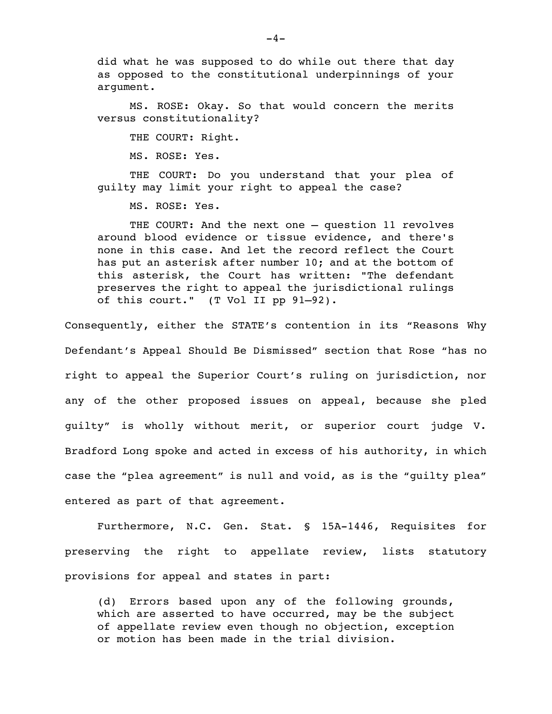did what he was supposed to do while out there that day as opposed to the constitutional underpinnings of your argument.

MS. ROSE: Okay. So that would concern the merits versus constitutionality?

THE COURT: Right.

MS. ROSE: Yes.

THE COURT: Do you understand that your plea of guilty may limit your right to appeal the case?

MS. ROSE: Yes.

THE COURT: And the next one — question 11 revolves around blood evidence or tissue evidence, and there's none in this case. And let the record reflect the Court has put an asterisk after number 10; and at the bottom of this asterisk, the Court has written: "The defendant preserves the right to appeal the jurisdictional rulings of this court." (T Vol II pp 91–92).

Consequently, either the STATE's contention in its "Reasons Why Defendant's Appeal Should Be Dismissed" section that Rose "has no right to appeal the Superior Court's ruling on jurisdiction, nor any of the other proposed issues on appeal, because she pled guilty" is wholly without merit, or superior court judge V. Bradford Long spoke and acted in excess of his authority, in which case the "plea agreement" is null and void, as is the "guilty plea" entered as part of that agreement.

Furthermore, N.C. Gen. Stat. § 15A-1446, Requisites for preserving the right to appellate review, lists statutory provisions for appeal and states in part:

(d) Errors based upon any of the following grounds, which are asserted to have occurred, may be the subject of appellate review even though no objection, exception or motion has been made in the trial division.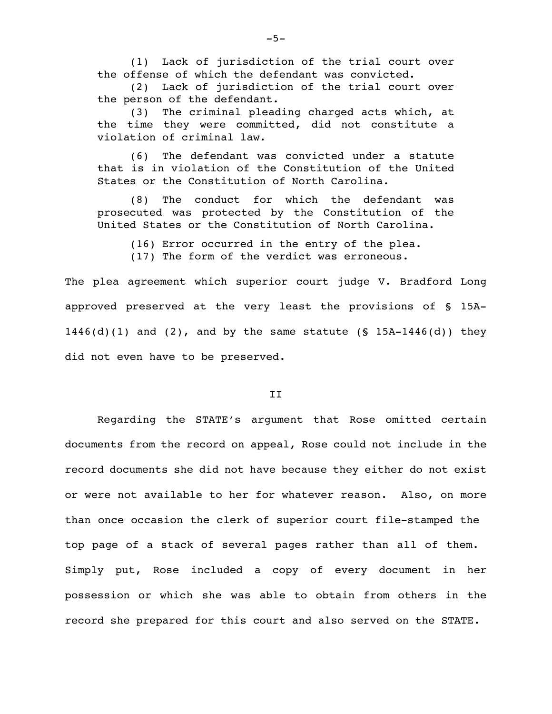(1) Lack of jurisdiction of the trial court over the offense of which the defendant was convicted.

(2) Lack of jurisdiction of the trial court over the person of the defendant.

(3) The criminal pleading charged acts which, at the time they were committed, did not constitute a violation of criminal law.

(6) The defendant was convicted under a statute that is in violation of the Constitution of the United States or the Constitution of North Carolina.

(8) The conduct for which the defendant was prosecuted was protected by the Constitution of the United States or the Constitution of North Carolina.

(16) Error occurred in the entry of the plea.

(17) The form of the verdict was erroneous.

The plea agreement which superior court judge V. Bradford Long approved preserved at the very least the provisions of § 15A- $1446(d)(1)$  and  $(2)$ , and by the same statute  $(S 15A-1446(d))$  they did not even have to be preserved.

## II

Regarding the STATE's argument that Rose omitted certain documents from the record on appeal, Rose could not include in the record documents she did not have because they either do not exist or were not available to her for whatever reason. Also, on more than once occasion the clerk of superior court file-stamped the top page of a stack of several pages rather than all of them. Simply put, Rose included a copy of every document in her possession or which she was able to obtain from others in the record she prepared for this court and also served on the STATE.